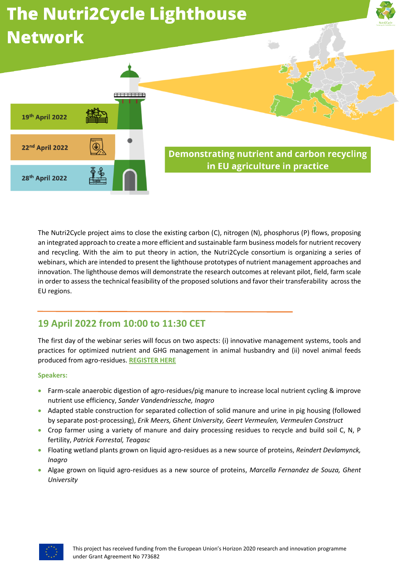# **The Nutri2Cycle Lighthouse Network**





**Demonstrating nutrient and carbon recycling** in EU agriculture in practice

The Nutri2Cycle project aims to close the existing carbon (C), nitrogen (N), phosphorus (P) flows, proposing an integrated approach to create a more efficient and sustainable farm business models for nutrient recovery and recycling. With the aim to put theory in action, the Nutri2Cycle consortium is organizing a series of webinars, which are intended to present the lighthouse prototypes of nutrient management approaches and innovation. The lighthouse demos will demonstrate the research outcomes at relevant pilot, field, farm scale in order to assess the technical feasibility of the proposed solutions and favor their transferability across the EU regions.

## **19 April 2022 from 10:00 to 11:30 CET**

The first day of the webinar series will focus on two aspects: (i) innovative management systems, tools and practices for optimized nutrient and GHG management in animal husbandry and (ii) novel animal feeds produced from agro-residues. **[REGISTER HERE](https://www.eventbrite.co.uk/e/demonstrating-nutrient-and-carbon-recycling-in-eu-agriculture-in-practice-tickets-309707482417)**

## **Speakers:**

- Farm-scale anaerobic digestion of agro-residues/pig manure to increase local nutrient cycling & improve nutrient use efficiency, *Sander Vandendriessche, Inagro*
- Adapted stable construction for separated collection of solid manure and urine in pig housing (followed by separate post-processing), *Erik Meers, Ghent University, Geert Vermeulen, Vermeulen Construct*
- Crop farmer using a variety of manure and dairy processing residues to recycle and build soil C, N, P fertility, *Patrick Forrestal, Teagasc*
- Floating wetland plants grown on liquid agro-residues as a new source of proteins, *Reindert Devlamynck, Inagro*
- Algae grown on liquid agro-residues as a new source of proteins, *Marcella Fernandez de Souza, Ghent University*